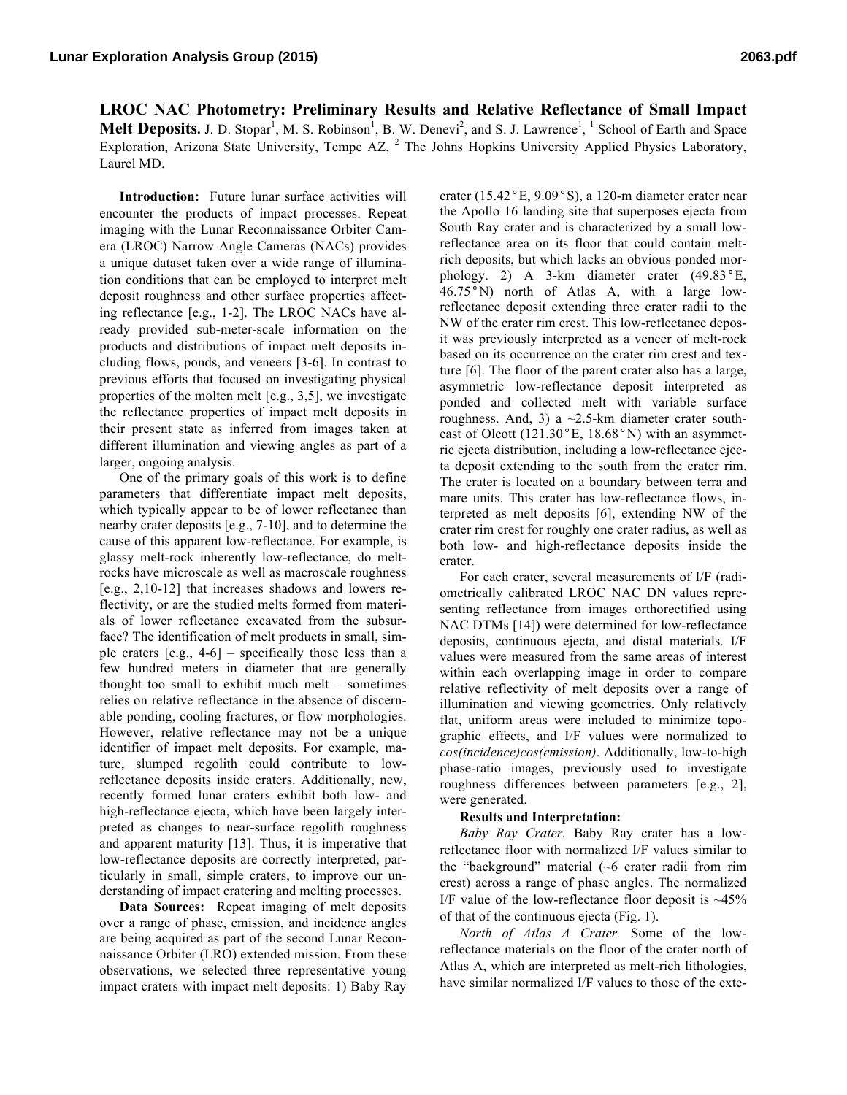**LROC NAC Photometry: Preliminary Results and Relative Reflectance of Small Impact**  Melt Deposits. J. D. Stopar<sup>1</sup>, M. S. Robinson<sup>1</sup>, B. W. Denevi<sup>2</sup>, and S. J. Lawrence<sup>1</sup>, <sup>1</sup> School of Earth and Space Exploration, Arizona State University, Tempe AZ, <sup>2</sup> The Johns Hopkins University Applied Physics Laboratory, Laurel MD.

**Introduction:** Future lunar surface activities will encounter the products of impact processes. Repeat imaging with the Lunar Reconnaissance Orbiter Camera (LROC) Narrow Angle Cameras (NACs) provides a unique dataset taken over a wide range of illumination conditions that can be employed to interpret melt deposit roughness and other surface properties affecting reflectance [e.g., 1-2]. The LROC NACs have already provided sub-meter-scale information on the products and distributions of impact melt deposits including flows, ponds, and veneers [3-6]. In contrast to previous efforts that focused on investigating physical properties of the molten melt [e.g., 3,5], we investigate the reflectance properties of impact melt deposits in their present state as inferred from images taken at different illumination and viewing angles as part of a larger, ongoing analysis.

One of the primary goals of this work is to define parameters that differentiate impact melt deposits, which typically appear to be of lower reflectance than nearby crater deposits [e.g., 7-10], and to determine the cause of this apparent low-reflectance. For example, is glassy melt-rock inherently low-reflectance, do meltrocks have microscale as well as macroscale roughness [e.g., 2,10-12] that increases shadows and lowers reflectivity, or are the studied melts formed from materials of lower reflectance excavated from the subsurface? The identification of melt products in small, simple craters  $[e.g., 4-6]$  – specifically those less than a few hundred meters in diameter that are generally thought too small to exhibit much melt – sometimes relies on relative reflectance in the absence of discernable ponding, cooling fractures, or flow morphologies. However, relative reflectance may not be a unique identifier of impact melt deposits. For example, mature, slumped regolith could contribute to lowreflectance deposits inside craters. Additionally, new, recently formed lunar craters exhibit both low- and high-reflectance ejecta, which have been largely interpreted as changes to near-surface regolith roughness and apparent maturity [13]. Thus, it is imperative that low-reflectance deposits are correctly interpreted, particularly in small, simple craters, to improve our understanding of impact cratering and melting processes.

**Data Sources:** Repeat imaging of melt deposits over a range of phase, emission, and incidence angles are being acquired as part of the second Lunar Reconnaissance Orbiter (LRO) extended mission. From these observations, we selected three representative young impact craters with impact melt deposits: 1) Baby Ray

crater (15.42°E, 9.09°S), a 120-m diameter crater near the Apollo 16 landing site that superposes ejecta from South Ray crater and is characterized by a small lowreflectance area on its floor that could contain meltrich deposits, but which lacks an obvious ponded morphology. 2) A 3-km diameter crater (49.83°E, 46.75°N) north of Atlas A, with a large lowreflectance deposit extending three crater radii to the NW of the crater rim crest. This low-reflectance deposit was previously interpreted as a veneer of melt-rock based on its occurrence on the crater rim crest and texture [6]. The floor of the parent crater also has a large, asymmetric low-reflectance deposit interpreted as ponded and collected melt with variable surface roughness. And, 3) a  $\sim$ 2.5-km diameter crater southeast of Olcott (121.30°E, 18.68°N) with an asymmetric ejecta distribution, including a low-reflectance ejecta deposit extending to the south from the crater rim. The crater is located on a boundary between terra and mare units. This crater has low-reflectance flows, interpreted as melt deposits [6], extending NW of the crater rim crest for roughly one crater radius, as well as both low- and high-reflectance deposits inside the crater.

For each crater, several measurements of I/F (radiometrically calibrated LROC NAC DN values representing reflectance from images orthorectified using NAC DTMs [14]) were determined for low-reflectance deposits, continuous ejecta, and distal materials. I/F values were measured from the same areas of interest within each overlapping image in order to compare relative reflectivity of melt deposits over a range of illumination and viewing geometries. Only relatively flat, uniform areas were included to minimize topographic effects, and I/F values were normalized to *cos(incidence)cos(emission)*. Additionally, low-to-high phase-ratio images, previously used to investigate roughness differences between parameters [e.g., 2], were generated.

## **Results and Interpretation:**

*Baby Ray Crater.* Baby Ray crater has a lowreflectance floor with normalized I/F values similar to the "background" material (~6 crater radii from rim crest) across a range of phase angles. The normalized I/F value of the low-reflectance floor deposit is  $\sim$ 45% of that of the continuous ejecta (Fig. 1).

*North of Atlas A Crater.* Some of the lowreflectance materials on the floor of the crater north of Atlas A, which are interpreted as melt-rich lithologies, have similar normalized I/F values to those of the exte